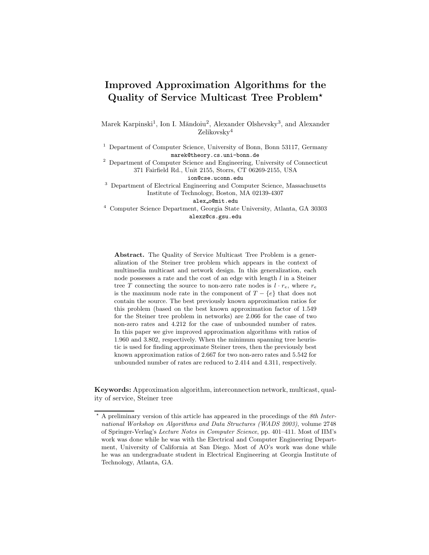# Improved Approximation Algorithms for the Quality of Service Multicast Tree Problem?

Marek Karpinski<sup>1</sup>, Ion I. Măndoiu<sup>2</sup>, Alexander Olshevsky<sup>3</sup>, and Alexander Zelikovsky<sup>4</sup>

<sup>1</sup> Department of Computer Science, University of Bonn, Bonn 53117, Germany marek@theory.cs.uni-bonn.de

<sup>2</sup> Department of Computer Science and Engineering, University of Connecticut 371 Fairfield Rd., Unit 2155, Storrs, CT 06269-2155, USA

ion@cse.uconn.edu

<sup>3</sup> Department of Electrical Engineering and Computer Science, Massachusetts Institute of Technology, Boston, MA 02139-4307

alex o@mit.edu

<sup>4</sup> Computer Science Department, Georgia State University, Atlanta, GA 30303 alexz@cs.gsu.edu

Abstract. The Quality of Service Multicast Tree Problem is a generalization of the Steiner tree problem which appears in the context of multimedia multicast and network design. In this generalization, each node possesses a rate and the cost of an edge with length  $l$  in a Steiner tree T connecting the source to non-zero rate nodes is  $l \cdot r_e$ , where  $r_e$ is the maximum node rate in the component of  $T - \{e\}$  that does not contain the source. The best previously known approximation ratios for this problem (based on the best known approximation factor of 1.549 for the Steiner tree problem in networks) are 2.066 for the case of two non-zero rates and 4.212 for the case of unbounded number of rates. In this paper we give improved approximation algorithms with ratios of 1.960 and 3.802, respectively. When the minimum spanning tree heuristic is used for finding approximate Steiner trees, then the previously best known approximation ratios of 2.667 for two non-zero rates and 5.542 for unbounded number of rates are reduced to 2.414 and 4.311, respectively.

Keywords: Approximation algorithm, interconnection network, multicast, quality of service, Steiner tree

<sup>?</sup> A preliminary version of this article has appeared in the procedings of the 8th International Workshop on Algorithms and Data Structures (WADS 2003), volume 2748 of Springer-Verlag's Lecture Notes in Computer Science, pp. 401–411. Most of IIM's work was done while he was with the Electrical and Computer Engineering Department, University of California at San Diego. Most of AO's work was done while he was an undergraduate student in Electrical Engineering at Georgia Institute of Technology, Atlanta, GA.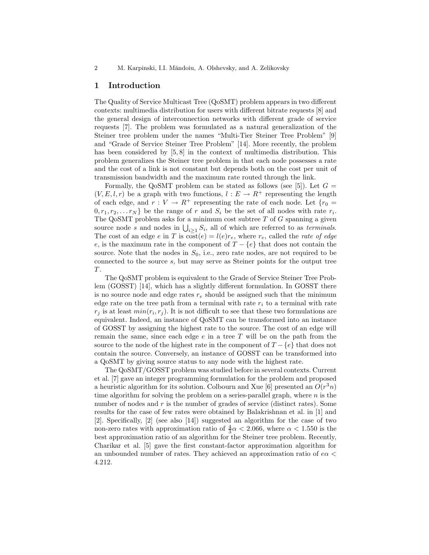#### 1 Introduction

The Quality of Service Multicast Tree (QoSMT) problem appears in two different contexts: multimedia distribution for users with different bitrate requests [8] and the general design of interconnection networks with different grade of service requests [7]. The problem was formulated as a natural generalization of the Steiner tree problem under the names "Multi-Tier Steiner Tree Problem" [9] and "Grade of Service Steiner Tree Problem" [14]. More recently, the problem has been considered by [5,8] in the context of multimedia distribution. This problem generalizes the Steiner tree problem in that each node possesses a rate and the cost of a link is not constant but depends both on the cost per unit of transmission bandwidth and the maximum rate routed through the link.

Formally, the QoSMT problem can be stated as follows (see [5]). Let  $G =$  $(V, E, l, r)$  be a graph with two functions,  $l : E \to R^+$  representing the length of each edge, and  $r: V \to R^+$  representing the rate of each node. Let  $\{r_0 =$  $[0, r_1, r_2, \ldots r_N]$  be the range of r and  $S_i$  be the set of all nodes with rate  $r_i$ . The QoSMT problem asks for a minimum cost subtree  $T$  of  $G$  spanning a given source node s and nodes in  $\bigcup_{i\geq 1} S_i$ , all of which are referred to as terminals. The cost of an edge e in T is  $\overline{\text{cost}}(e) = l(e)r_e$ , where  $r_e$ , called the *rate of edge* e, is the maximum rate in the component of  $T - \{e\}$  that does not contain the source. Note that the nodes in  $S_0$ , i.e., zero rate nodes, are not required to be connected to the source s, but may serve as Steiner points for the output tree T.

The QoSMT problem is equivalent to the Grade of Service Steiner Tree Problem (GOSST) [14], which has a slightly different formulation. In GOSST there is no source node and edge rates  $r_e$  should be assigned such that the minimum edge rate on the tree path from a terminal with rate  $r_i$  to a terminal with rate  $r_j$  is at least  $min(r_i, r_j)$ . It is not difficult to see that these two formulations are equivalent. Indeed, an instance of QoSMT can be transformed into an instance of GOSST by assigning the highest rate to the source. The cost of an edge will remain the same, since each edge  $e$  in a tree  $T$  will be on the path from the source to the node of the highest rate in the component of  $T - \{e\}$  that does not contain the source. Conversely, an instance of GOSST can be transformed into a QoSMT by giving source status to any node with the highest rate.

The QoSMT/GOSST problem was studied before in several contexts. Current et al. [7] gave an integer programming formulation for the problem and proposed a heuristic algorithm for its solution. Colbourn and Xue [6] presented an  $O(r^3n)$ time algorithm for solving the problem on a series-parallel graph, where  $n$  is the number of nodes and  $r$  is the number of grades of service (distinct rates). Some results for the case of few rates were obtained by Balakrishnan et al. in [1] and [2]. Specifically, [2] (see also [14]) suggested an algorithm for the case of two non-zero rates with approximation ratio of  $\frac{4}{3}\alpha < 2.066$ , where  $\alpha < 1.550$  is the best approximation ratio of an algorithm for the Steiner tree problem. Recently, Charikar et al. [5] gave the first constant-factor approximation algorithm for an unbounded number of rates. They achieved an approximation ratio of  $e\alpha$ 4.212.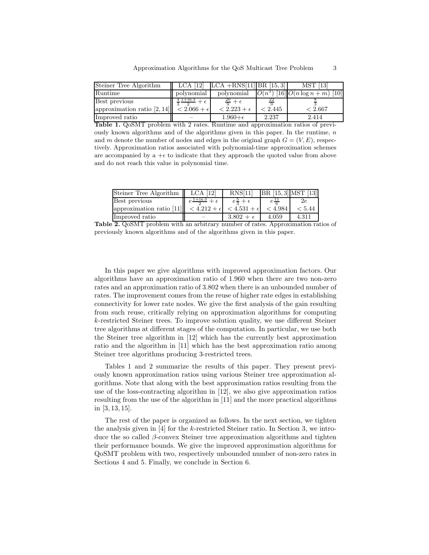| Steiner Tree Algorithm                                |                                            | LCA $[12]$ LCA $+RNS[11]$ BR $[15,3]$ |         | <b>MST</b> [13]                          |
|-------------------------------------------------------|--------------------------------------------|---------------------------------------|---------|------------------------------------------|
| Runtime                                               | polynomial                                 | polynomial                            |         | $ O(n^3) $ [16] $ O(n \log n + m) $ [10] |
| Best previous                                         | $\frac{4 \text{ l} + \ln 3}{4} + \epsilon$ | $\frac{20}{8} + \epsilon$             |         |                                          |
| approximation ratio $[2, 14]$ $\leq 2.066 + \epsilon$ |                                            | $< 2.223 + \epsilon$                  | < 2.445 | < 2.667                                  |
| Improved ratio                                        |                                            | $1.960 + \epsilon$                    | 2.237   | 2.414                                    |

Table 1. QoSMT problem with 2 rates. Runtime and approximation ratios of previously known algorithms and of the algorithms given in this paper. In the runtime,  $n$ and m denote the number of nodes and edges in the original graph  $G = (V, E)$ , respectively. Approximation ratios associated with polynomial-time approximation schemes are accompanied by a  $+\epsilon$  to indicate that they approach the quoted value from above and do not reach this value in polynomial time.

| Steiner Tree Algorithm                       | $LCA$ [12] | RNS[11]                 | $BR [15,3]$ MST [13] |        |
|----------------------------------------------|------------|-------------------------|----------------------|--------|
| Best previous                                | $1+ln 3$   | $e\frac{3}{2}+\epsilon$ |                      | 2e     |
| approximation ratio [11] $ 3212 + \epsilon $ |            | $<$ 4.531 + $\epsilon$  | < 4.984              | < 5.44 |
| Improved ratio                               |            | $3.802 + \epsilon$      | 4.059                | 4.311  |

Table 2. QoSMT problem with an arbitrary number of rates. Approximation ratios of previously known algorithms and of the algorithms given in this paper.

In this paper we give algorithms with improved approximation factors. Our algorithms have an approximation ratio of 1.960 when there are two non-zero rates and an approximation ratio of 3.802 when there is an unbounded number of rates. The improvement comes from the reuse of higher rate edges in establishing connectivity for lower rate nodes. We give the first analysis of the gain resulting from such reuse, critically relying on approximation algorithms for computing k-restricted Steiner trees. To improve solution quality, we use different Steiner tree algorithms at different stages of the computation. In particular, we use both the Steiner tree algorithm in [12] which has the currently best approximation ratio and the algorithm in [11] which has the best approximation ratio among Steiner tree algorithms producing 3-restricted trees.

Tables 1 and 2 summarize the results of this paper. They present previously known approximation ratios using various Steiner tree approximation algorithms. Note that along with the best approximation ratios resulting from the use of the loss-contracting algorithm in [12], we also give approximation ratios resulting from the use of the algorithm in [11] and the more practical algorithms in [3, 13, 15].

The rest of the paper is organized as follows. In the next section, we tighten the analysis given in [4] for the k-restricted Steiner ratio. In Section 3, we introduce the so called  $\beta$ -convex Steiner tree approximation algorithms and tighten their performance bounds. We give the improved approximation algorithms for QoSMT problem with two, respectively unbounded number of non-zero rates in Sections 4 and 5. Finally, we conclude in Section 6.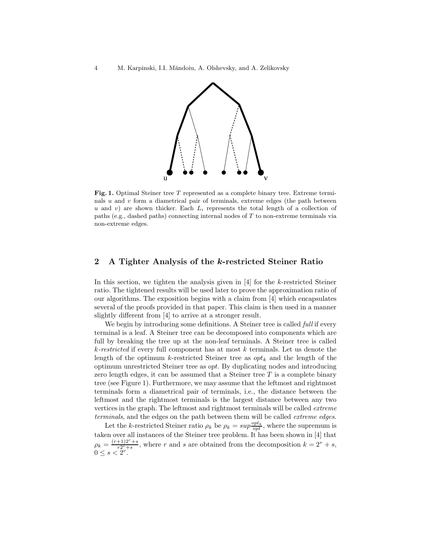

Fig. 1. Optimal Steiner tree T represented as a complete binary tree. Extreme terminals  $u$  and  $v$  form a diametrical pair of terminals, extreme edges (the path between u and v) are shown thicker. Each  $L_i$  represents the total length of a collection of paths (e.g., dashed paths) connecting internal nodes of T to non-extreme terminals via non-extreme edges.

## 2 A Tighter Analysis of the k-restricted Steiner Ratio

In this section, we tighten the analysis given in [4] for the k-restricted Steiner ratio. The tightened results will be used later to prove the approximation ratio of our algorithms. The exposition begins with a claim from [4] which encapsulates several of the proofs provided in that paper. This claim is then used in a manner slightly different from [4] to arrive at a stronger result.

We begin by introducing some definitions. A Steiner tree is called *full* if every terminal is a leaf. A Steiner tree can be decomposed into components which are full by breaking the tree up at the non-leaf terminals. A Steiner tree is called  $k$ -restricted if every full component has at most k terminals. Let us denote the length of the optimum k-restricted Steiner tree as  $opt_k$  and the length of the optimum unrestricted Steiner tree as opt. By duplicating nodes and introducing zero length edges, it can be assumed that a Steiner tree  $T$  is a complete binary tree (see Figure 1). Furthermore, we may assume that the leftmost and rightmost terminals form a diametrical pair of terminals, i.e., the distance between the leftmost and the rightmost terminals is the largest distance between any two vertices in the graph. The leftmost and rightmost terminals will be called extreme terminals, and the edges on the path between them will be called extreme edges.

Let the k-restricted Steiner ratio  $\rho_k$  be  $\rho_k = \sup \frac{\partial p_t}{\partial p_t}$ , where the supremum is taken over all instances of the Steiner tree problem. It has been shown in [4] that  $\rho_k = \frac{(r+1)2^r + s}{r2^r + s}$  $\frac{+1}{r^{2^r+s}}$ , where r and s are obtained from the decomposition  $k = 2^r + s$ ,  $0 \le s < 2^r$ .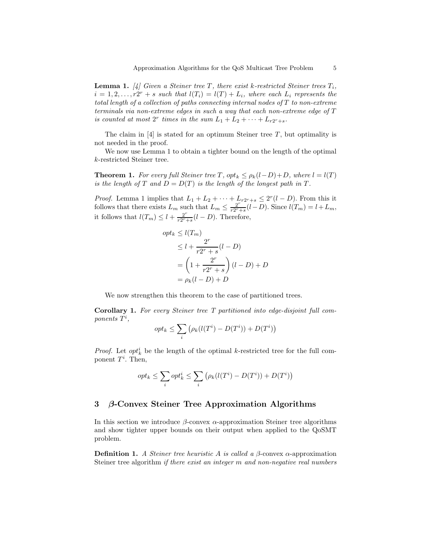**Lemma 1.** [4] Given a Steiner tree T, there exist k-restricted Steiner trees  $T_i$ ,  $i = 1, 2, \ldots, r2^r + s$  such that  $l(T_i) = l(T) + L_i$ , where each  $L_i$  represents the total length of a collection of paths connecting internal nodes of T to non-extreme terminals via non-extreme edges in such a way that each non-extreme edge of T is counted at most  $2^r$  times in the sum  $L_1 + L_2 + \cdots + L_{r2r+s}$ .

The claim in  $[4]$  is stated for an optimum Steiner tree T, but optimality is not needed in the proof.

We now use Lemma 1 to obtain a tighter bound on the length of the optimal k-restricted Steiner tree.

**Theorem 1.** For every full Steiner tree T,  $opt_k \leq p_k(l-D)+D$ , where  $l = l(T)$ is the length of T and  $D = D(T)$  is the length of the longest path in T.

*Proof.* Lemma 1 implies that  $L_1 + L_2 + \cdots + L_{r2^r+s} \leq 2^r(l-D)$ . From this it follows that there exists  $L_m$  such that  $L_m \leq \frac{2^r}{r2^{r}}$ .  $\frac{2^{r}}{r2^{r}+s}(l-D)$ . Since  $l(T_m) = l + L_m$ , it follows that  $l(T_m) \leq l + \frac{2^r}{r2^r}$ .  $\frac{2^r}{r2^r+s}(l-D)$ . Therefore,

$$
opt_k \le l(T_m)
$$
  
\n
$$
\le l + \frac{2^r}{r2^r + s}(l - D)
$$
  
\n
$$
= \left(1 + \frac{2^r}{r2^r + s}\right)(l - D) + D
$$
  
\n
$$
= \rho_k(l - D) + D
$$

We now strengthen this theorem to the case of partitioned trees.

Corollary 1. For every Steiner tree T partitioned into edge-disjoint full com $ponents T^i,$ 

$$
opt_k \leq \sum_i (\rho_k(l(T^i) - D(T^i)) + D(T^i))
$$

*Proof.* Let  $opt_k^i$  be the length of the optimal k-restricted tree for the full component  $T^i$ . Then,

$$
opt_k \leq \sum_i opt_k^i \leq \sum_i (\rho_k(l(T^i) - D(T^i)) + D(T^i))
$$

## 3 β-Convex Steiner Tree Approximation Algorithms

In this section we introduce  $\beta$ -convex  $\alpha$ -approximation Steiner tree algorithms and show tighter upper bounds on their output when applied to the QoSMT problem.

**Definition 1.** A Steiner tree heuristic A is called a  $\beta$ -convex  $\alpha$ -approximation Steiner tree algorithm *if there exist an integer m and non-negative real numbers*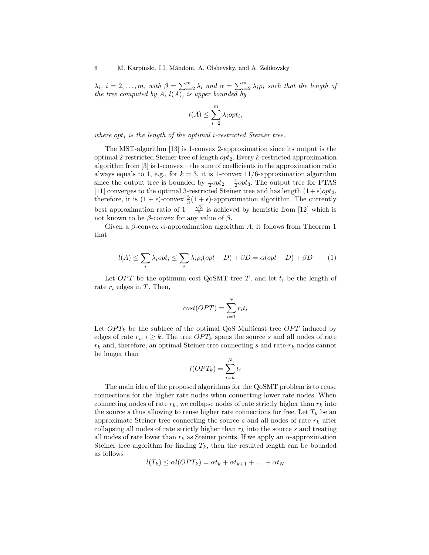$\lambda_i, i = 2, \ldots, m, \text{ with } \beta = \sum_{i=2}^m \lambda_i \text{ and } \alpha = \sum_{i=2}^m \lambda_i \rho_i \text{ such that the length of } \beta$ the tree computed by  $A$ ,  $l(A)$ , is upper bounded by

$$
l(A) \le \sum_{i=2}^{m} \lambda_i opt_i,
$$

where  $opt_i$  is the length of the optimal *i*-restricted Steiner tree.

The MST-algorithm [13] is 1-convex 2-approximation since its output is the optimal 2-restricted Steiner tree of length  $opt_2$ . Every k-restricted approximation algorithm from [3] is 1-convex – the sum of coefficients in the approximation ratio always equals to 1, e.g., for  $k = 3$ , it is 1-convex 11/6-approximation algorithm since the output tree is bounded by  $\frac{1}{2}opt_2 + \frac{1}{2}opt_3$ . The output tree for PTAS [11] converges to the optimal 3-restricted Steiner tree and has length  $(1+\epsilon)opt_3$ , therefore, it is  $(1 + \epsilon)$ -convex  $\frac{5}{3}(1 + \epsilon)$ -approximation algorithm. The currently best approximation ratio of  $1 + \frac{\sqrt{3}}{2}$  is achieved by heuristic from [12] which is not known to be β-convex for any value of β.

Given a  $\beta$ -convex  $\alpha$ -approximation algorithm A, it follows from Theorem 1 that

$$
l(A) \le \sum_{i} \lambda_i opt_i \le \sum_{i} \lambda_i \rho_i (opt - D) + \beta D = \alpha (opt - D) + \beta D \tag{1}
$$

Let  $OPT$  be the optimum cost QoSMT tree T, and let  $t_i$  be the length of rate  $r_i$  edges in T. Then,

$$
cost(OPT) = \sum_{i=1}^{N} r_i t_i
$$

Let  $OPT_k$  be the subtree of the optimal QoS Multicast tree OPT induced by edges of rate  $r_i$ ,  $i \geq k$ . The tree  $OPT_k$  spans the source s and all nodes of rate  $r_k$  and, therefore, an optimal Steiner tree connecting s and rate- $r_k$  nodes cannot be longer than

$$
l(OPT_k) = \sum_{i=k}^{N} t_i
$$

The main idea of the proposed algorithms for the QoSMT problem is to reuse connections for the higher rate nodes when connecting lower rate nodes. When connecting nodes of rate  $r_k$ , we collapse nodes of rate strictly higher than  $r_k$  into the source s thus allowing to reuse higher rate connections for free. Let  $T_k$  be an approximate Steiner tree connecting the source s and all nodes of rate  $r_k$  after collapsing all nodes of rate strictly higher than  $r_k$  into the source s and treating all nodes of rate lower than  $r_k$  as Steiner points. If we apply an  $\alpha$ -approximation Steiner tree algorithm for finding  $T_k$ , then the resulted length can be bounded as follows

$$
l(T_k) \leq \alpha l(OPT_k) = \alpha t_k + \alpha t_{k+1} + \ldots + \alpha t_N
$$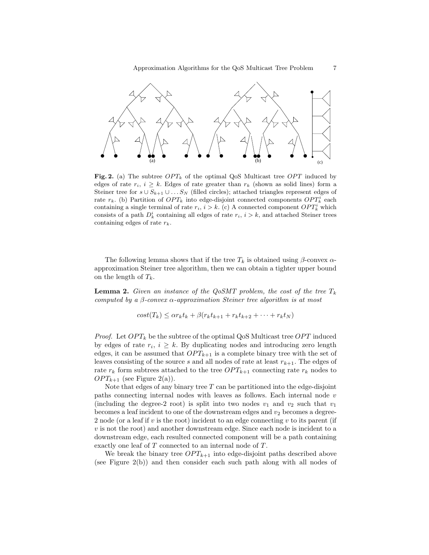

Fig. 2. (a) The subtree  $OPT_k$  of the optimal QoS Multicast tree OPT induced by edges of rate  $r_i$ ,  $i \geq k$ . Edges of rate greater than  $r_k$  (shown as solid lines) form a Steiner tree for  $s \cup S_{k+1} \cup \ldots S_N$  (filled circles); attached triangles represent edges of rate  $r_k$ . (b) Partition of  $OPT_k$  into edge-disjoint connected components  $OPT_k^i$  each containing a single terminal of rate  $r_i$ ,  $i > k$ . (c) A connected component  $OPT_k^i$  which consists of a path  $D_k^i$  containing all edges of rate  $r_i$ ,  $i > k$ , and attached Steiner trees containing edges of rate  $r_k$ .

The following lemma shows that if the tree  $T_k$  is obtained using  $\beta$ -convex  $\alpha$ approximation Steiner tree algorithm, then we can obtain a tighter upper bound on the length of  $T_k$ .

**Lemma 2.** Given an instance of the QoSMT problem, the cost of the tree  $T_k$ computed by a  $\beta$ -convex  $\alpha$ -approximation Steiner tree algorithm is at most

$$
cost(T_k) \leq \alpha r_k t_k + \beta (r_k t_{k+1} + r_k t_{k+2} + \dots + r_k t_N)
$$

*Proof.* Let  $OPT_k$  be the subtree of the optimal QoS Multicast tree OPT induced by edges of rate  $r_i$ ,  $i \geq k$ . By duplicating nodes and introducing zero length edges, it can be assumed that  $OPT_{k+1}$  is a complete binary tree with the set of leaves consisting of the source s and all nodes of rate at least  $r_{k+1}$ . The edges of rate  $r_k$  form subtrees attached to the tree  $OPT_{k+1}$  connecting rate  $r_k$  nodes to  $OPT_{k+1}$  (see Figure 2(a)).

Note that edges of any binary tree  $T$  can be partitioned into the edge-disjoint paths connecting internal nodes with leaves as follows. Each internal node  $v$ (including the degree-2 root) is split into two nodes  $v_1$  and  $v_2$  such that  $v_1$ becomes a leaf incident to one of the downstream edges and  $v_2$  becomes a degree-2 node (or a leaf if  $v$  is the root) incident to an edge connecting  $v$  to its parent (if v is not the root) and another downstream edge. Since each node is incident to a downstream edge, each resulted connected component will be a path containing exactly one leaf of T connected to an internal node of T.

We break the binary tree  $OPT_{k+1}$  into edge-disjoint paths described above (see Figure 2(b)) and then consider each such path along with all nodes of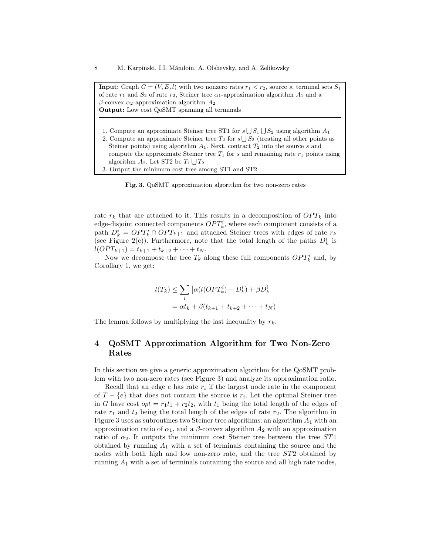**Input:** Graph  $G = (V, E, l)$  with two nonzero rates  $r_1 < r_2$ , source s, terminal sets  $S_1$ of rate  $r_1$  and  $S_2$  of rate  $r_2$ , Steiner tree  $\alpha_1$ -approximation algorithm  $A_1$  and a β-convex  $α_2$ -approximation algorithm  $A_2$ Output: Low cost QoSMT spanning all terminals

- 1. Compute an approximate Steiner tree ST1 for  $s \bigcup S_1 \bigcup S_2$  using algorithm  $A_1$
- 2. Compute an approximate Steiner tree  $T_2$  for  $s \bigcup S_2$  (treating all other points as Steiner points) using algorithm  $A_1$ . Next, contract  $T_2$  into the source s and compute the approximate Steiner tree  $T_1$  for s and remaining rate  $r_1$  points using algorithm  $A_2$ . Let ST2 be  $T_1 \bigcup T_2$
- 3. Output the minimum cost tree among ST1 and ST2

Fig. 3. QoSMT approximation algorithm for two non-zero rates

rate  $r_k$  that are attached to it. This results in a decomposition of  $OPT_k$  into edge-disjoint connected components  $OPT_k^i$ , where each component consists of a path  $D_k^i = OPT_k^i \cap OPT_{k+1}$  and attached Steiner trees with edges of rate  $r_k$ (see Figure 2(c)). Furthermore, note that the total length of the paths  $D_k^i$  is  $l(OPT_{k+1}) = t_{k+1} + t_{k+2} + \cdots + t_N.$ 

Now we decompose the tree  $T_k$  along these full components  $OPT_k^i$  and, by Corollary 1, we get:

$$
l(T_k) \leq \sum_i \left[ \alpha (l(OPT_k^i) - D_k^i) + \beta D_k^i \right]
$$
  
=  $\alpha t_k + \beta (t_{k+1} + t_{k+2} + \dots + t_N)$ 

The lemma follows by multiplying the last inequality by  $r_k$ .

# 4 QoSMT Approximation Algorithm for Two Non-Zero Rates

In this section we give a generic approximation algorithm for the QoSMT problem with two non-zero rates (see Figure 3) and analyze its approximation ratio.

Recall that an edge  $e$  has rate  $r_i$  if the largest node rate in the component of  $T - \{e\}$  that does not contain the source is  $r_i$ . Let the optimal Steiner tree in G have cost  $opt = r_1t_1 + r_2t_2$ , with  $t_1$  being the total length of the edges of rate  $r_1$  and  $t_2$  being the total length of the edges of rate  $r_2$ . The algorithm in Figure 3 uses as subroutines two Steiner tree algorithms: an algorithm  $A_1$  with an approximation ratio of  $\alpha_1$ , and a  $\beta$ -convex algorithm  $A_2$  with an approximation ratio of  $\alpha_2$ . It outputs the minimum cost Steiner tree between the tree ST1 obtained by running  $A_1$  with a set of terminals containing the source and the nodes with both high and low non-zero rate, and the tree ST2 obtained by running  $A_1$  with a set of terminals containing the source and all high rate nodes,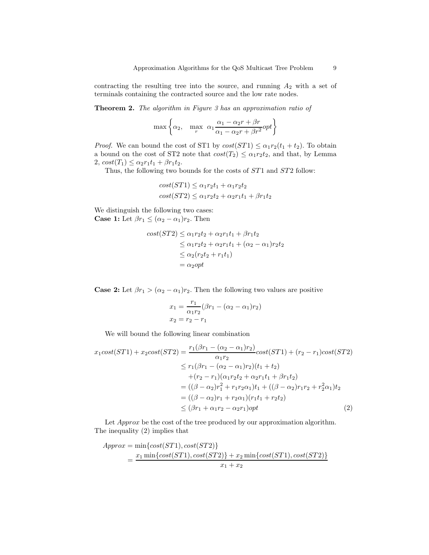contracting the resulting tree into the source, and running  $A_2$  with a set of terminals containing the contracted source and the low rate nodes.

Theorem 2. The algorithm in Figure 3 has an approximation ratio of

$$
\max \left\{\alpha_2, \max_r \alpha_1 \frac{\alpha_1 - \alpha_2 r + \beta r}{\alpha_1 - \alpha_2 r + \beta r^2} opt\right\}
$$

*Proof.* We can bound the cost of ST1 by  $cost(ST1) \leq \alpha_1 r_2(t_1 + t_2)$ . To obtain a bound on the cost of ST2 note that  $cost(T_2) \leq \alpha_1 r_2 t_2$ , and that, by Lemma 2,  $cost(T_1) \leq \alpha_2 r_1 t_1 + \beta r_1 t_2$ .

Thus, the following two bounds for the costs of  $ST1$  and  $ST2$  follow:

$$
cost(ST1) \leq \alpha_1 r_2 t_1 + \alpha_1 r_2 t_2
$$

$$
cost(ST2) \leq \alpha_1 r_2 t_2 + \alpha_2 r_1 t_1 + \beta r_1 t_2
$$

We distinguish the following two cases: **Case 1:** Let  $\beta r_1 \leq (\alpha_2 - \alpha_1) r_2$ . Then

$$
cost(ST2) \leq \alpha_1 r_2 t_2 + \alpha_2 r_1 t_1 + \beta r_1 t_2
$$
  
\n
$$
\leq \alpha_1 r_2 t_2 + \alpha_2 r_1 t_1 + (\alpha_2 - \alpha_1) r_2 t_2
$$
  
\n
$$
\leq \alpha_2 (r_2 t_2 + r_1 t_1)
$$
  
\n
$$
= \alpha_2 opt
$$

**Case 2:** Let  $\beta r_1 > (\alpha_2 - \alpha_1) r_2$ . Then the following two values are positive

$$
x_1 = \frac{r_1}{\alpha_1 r_2} (\beta r_1 - (\alpha_2 - \alpha_1) r_2)
$$
  

$$
x_2 = r_2 - r_1
$$

We will bound the following linear combination

$$
x_1 cost(ST1) + x_2 cost(ST2) = \frac{r_1(\beta r_1 - (\alpha_2 - \alpha_1)r_2)}{\alpha_1 r_2} cost(ST1) + (r_2 - r_1) cost(ST2)
$$
  
\n
$$
\le r_1(\beta r_1 - (\alpha_2 - \alpha_1)r_2)(t_1 + t_2)
$$
  
\n
$$
+ (r_2 - r_1)(\alpha_1 r_2 t_2 + \alpha_2 r_1 t_1 + \beta r_1 t_2)
$$
  
\n
$$
= ((\beta - \alpha_2)r_1^2 + r_1 r_2 \alpha_1)t_1 + ((\beta - \alpha_2)r_1 r_2 + r_2^2 \alpha_1)t_2
$$
  
\n
$$
= ((\beta - \alpha_2)r_1 + r_2 \alpha_1)(r_1 t_1 + r_2 t_2)
$$
  
\n
$$
\le (\beta r_1 + \alpha_1 r_2 - \alpha_2 r_1) opt
$$
 (2)

Let *Approx* be the cost of the tree produced by our approximation algorithm. The inequality (2) implies that

$$
Approx = \min\{cost(ST1), cost(ST2)\}\
$$

$$
= \frac{x_1 \min\{cost(ST1), cost(ST2)\} + x_2 \min\{cost(ST1), cost(ST2)\}}{x_1 + x_2}
$$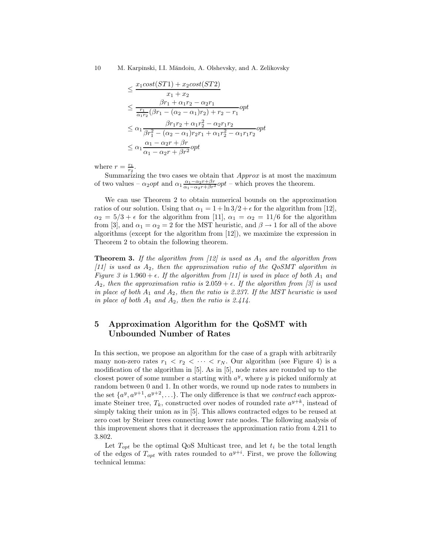10 M. Karpinski, I.I. Măndoiu, A. Olshevsky, and A. Zelikovsky

$$
\leq \frac{x_1 \cos t (ST1) + x_2 \cos t (ST2)}{x_1 + x_2}
$$
\n
$$
\leq \frac{\beta r_1 + \alpha_1 r_2 - \alpha_2 r_1}{\frac{r_1}{\alpha_1 r_2} (\beta r_1 - (\alpha_2 - \alpha_1) r_2) + r_2 - r_1} \text{opt}
$$
\n
$$
\leq \alpha_1 \frac{\beta r_1 r_2 + \alpha_1 r_2^2 - \alpha_2 r_1 r_2}{\beta r_1^2 - (\alpha_2 - \alpha_1) r_2 r_1 + \alpha_1 r_2^2 - \alpha_1 r_1 r_2} \text{opt}
$$
\n
$$
\leq \alpha_1 \frac{\alpha_1 - \alpha_2 r + \beta r}{\alpha_1 - \alpha_2 r + \beta r^2} \text{opt}
$$

where  $r = \frac{r_1}{r_2}$ .

Summarizing the two cases we obtain that  $Approx$  is at most the maximum of two values –  $\alpha_2 opt$  and  $\alpha_1 \frac{\alpha_1 - \alpha_2 r + \beta r}{\alpha_1 - \alpha_2 r + \beta r^2} opt$  – which proves the theorem.

We can use Theorem 2 to obtain numerical bounds on the approximation ratios of our solution. Using that  $\alpha_1 = 1 + \ln 3/2 + \epsilon$  for the algorithm from [12],  $\alpha_2 = 5/3 + \epsilon$  for the algorithm from [11],  $\alpha_1 = \alpha_2 = 11/6$  for the algorithm from [3], and  $\alpha_1 = \alpha_2 = 2$  for the MST heuristic, and  $\beta \rightarrow 1$  for all of the above algorithms (except for the algorithm from [12]), we maximize the expression in Theorem 2 to obtain the following theorem.

**Theorem 3.** If the algorithm from [12] is used as  $A_1$  and the algorithm from [11] is used as  $A_2$ , then the approximation ratio of the QoSMT algorithm in Figure 3 is 1.960 +  $\epsilon$ . If the algorithm from [11] is used in place of both  $A_1$  and  $A_2$ , then the approximation ratio is  $2.059 + \epsilon$ . If the algorithm from [3] is used in place of both  $A_1$  and  $A_2$ , then the ratio is 2.237. If the MST heuristic is used in place of both  $A_1$  and  $A_2$ , then the ratio is 2.414.

# 5 Approximation Algorithm for the QoSMT with Unbounded Number of Rates

In this section, we propose an algorithm for the case of a graph with arbitrarily many non-zero rates  $r_1 < r_2 < \cdots < r_N$ . Our algorithm (see Figure 4) is a modification of the algorithm in [5]. As in [5], node rates are rounded up to the closest power of some number  $a$  starting with  $a^y$ , where  $y$  is picked uniformly at random between 0 and 1. In other words, we round up node rates to numbers in the set  $\{a^y, a^{y+1}, a^{y+2}, \ldots\}$ . The only difference is that we *contract* each approximate Steiner tree,  $T_k$ , constructed over nodes of rounded rate  $a^{y+k}$ , instead of simply taking their union as in [5]. This allows contracted edges to be reused at zero cost by Steiner trees connecting lower rate nodes. The following analysis of this improvement shows that it decreases the approximation ratio from 4.211 to 3.802.

Let  $T_{opt}$  be the optimal QoS Multicast tree, and let  $t_i$  be the total length of the edges of  $T_{opt}$  with rates rounded to  $a^{y+i}$ . First, we prove the following technical lemma: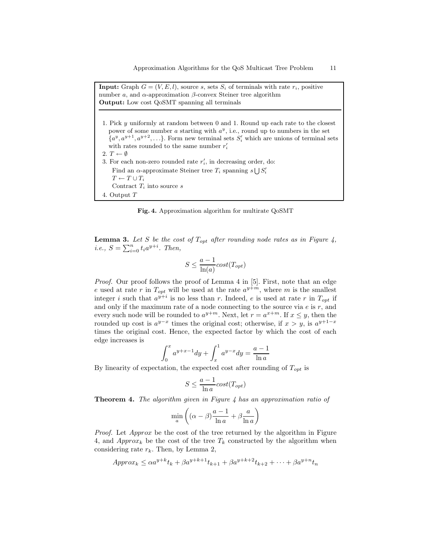**Input:** Graph  $G = (V, E, l)$ , source s, sets  $S_i$  of terminals with rate  $r_i$ , positive number  $a$ , and  $α$ -approximation  $β$ -convex Steiner tree algorithm Output: Low cost QoSMT spanning all terminals

1. Pick y uniformly at random between 0 and 1. Round up each rate to the closest power of some number a starting with  $a^y$ , i.e., round up to numbers in the set  ${a^y, a^{y+1}, a^{y+2}, \ldots}$ . Form new terminal sets  $S'_i$  which are unions of terminal sets with rates rounded to the same number  $r_i'$ 2.  $T \leftarrow \emptyset$ 3. For each non-zero rounded rate  $r_i'$ , in decreasing order, do: Find an  $\alpha$ -approximate Steiner tree  $T_i$  spanning  $s \bigcup S_i'$  $T \leftarrow T \cup T_i$ Contract  $T_i$  into source  $s$ 4. Output T

Fig. 4. Approximation algorithm for multirate QoSMT

**Lemma 3.** Let S be the cost of  $T_{opt}$  after rounding node rates as in Figure 4, *i.e.*,  $S = \sum_{i=0}^{n} t_i a^{y+i}$ . Then,

$$
S \le \frac{a-1}{\ln(a)} cost(T_{opt})
$$

Proof. Our proof follows the proof of Lemma 4 in [5]. First, note that an edge e used at rate r in  $T_{opt}$  will be used at the rate  $a^{y+m}$ , where m is the smallest integer *i* such that  $a^{y+i}$  is no less than *r*. Indeed, *e* is used at rate *r* in  $T_{opt}$  if and only if the maximum rate of a node connecting to the source via  $e$  is  $r$ , and every such node will be rounded to  $a^{y+m}$ . Next, let  $r = a^{x+m}$ . If  $x \leq y$ , then the rounded up cost is  $a^{y-x}$  times the original cost; otherwise, if  $x > y$ , is  $a^{y+1-x}$ times the original cost. Hence, the expected factor by which the cost of each edge increases is

$$
\int_0^x a^{y+x-1} dy + \int_x^1 a^{y-x} dy = \frac{a-1}{\ln a}
$$

By linearity of expectation, the expected cost after rounding of  $T_{opt}$  is

$$
S \le \frac{a-1}{\ln a} cost(T_{opt})
$$

**Theorem 4.** The algorithm given in Figure 4 has an approximation ratio of

$$
\min_{a} \left( (\alpha - \beta) \frac{a - 1}{\ln a} + \beta \frac{a}{\ln a} \right)
$$

Proof. Let Approx be the cost of the tree returned by the algorithm in Figure 4, and  $Approx_k$  be the cost of the tree  $T_k$  constructed by the algorithm when considering rate  $r_k$ . Then, by Lemma 2,

$$
Approx_k \le \alpha a^{y+k} t_k + \beta a^{y+k+1} t_{k+1} + \beta a^{y+k+2} t_{k+2} + \dots + \beta a^{y+n} t_n
$$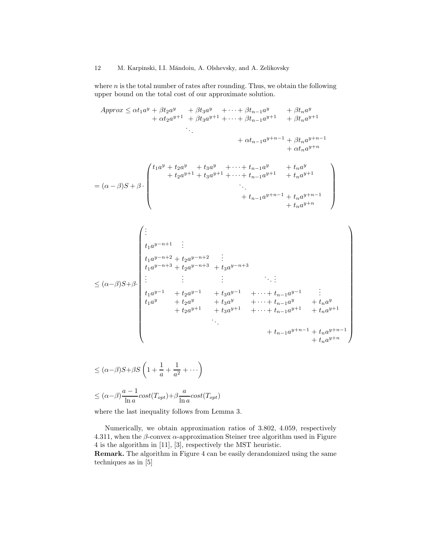where  $n$  is the total number of rates after rounding. Thus, we obtain the following upper bound on the total cost of our approximate solution.

Approx ≤ αt1a <sup>y</sup> + βt2a <sup>y</sup> + βt3a <sup>y</sup> <sup>+</sup> · · · <sup>+</sup> βtn−<sup>1</sup><sup>a</sup> <sup>y</sup> + βtna y + αt2a <sup>y</sup>+1 + βt3a <sup>y</sup>+1 <sup>+</sup> · · · <sup>+</sup> βtn−<sup>1</sup><sup>a</sup> <sup>y</sup>+1 + βtna y+1 . . . + αtn−<sup>1</sup>a <sup>y</sup>+n−<sup>1</sup> + βtna y+n−1 + αtna y+n = (α − β)S + β · t1a <sup>y</sup> + t2a <sup>y</sup> + t3a <sup>y</sup> <sup>+</sup> · · · <sup>+</sup> <sup>t</sup>n−<sup>1</sup><sup>a</sup> <sup>y</sup> + tna y + t2a <sup>y</sup>+1 + t3a <sup>y</sup>+1 <sup>+</sup> · · · <sup>+</sup> <sup>t</sup>n−<sup>1</sup><sup>a</sup> <sup>y</sup>+1 + tna y+1 . . . + t<sup>n</sup>−<sup>1</sup>a <sup>y</sup>+n−<sup>1</sup> + tna y+n−1 + tna y+n ≤ (α−β)S+β· . . . t1a <sup>y</sup>−n+1 . . . t1a <sup>y</sup>−n+2 + t2a <sup>y</sup>−n+2 . . . t1a <sup>y</sup>−n+3 + t2a <sup>y</sup>−n+3 + t3a y−n+3 . . . . . . . . . . . . . . . t1a <sup>y</sup>−<sup>1</sup> + t2a <sup>y</sup>−<sup>1</sup> + t3a <sup>y</sup>−<sup>1</sup> <sup>+</sup> · · · <sup>+</sup> <sup>t</sup><sup>n</sup>−<sup>1</sup><sup>a</sup> y−1 . . . t1a <sup>y</sup> + t2a <sup>y</sup> + t3a <sup>y</sup> <sup>+</sup> · · · <sup>+</sup> <sup>t</sup><sup>n</sup>−<sup>1</sup><sup>a</sup> <sup>y</sup> + tna y + t2a <sup>y</sup>+1 + t3a <sup>y</sup>+1 <sup>+</sup> · · · <sup>+</sup> <sup>t</sup><sup>n</sup>−<sup>1</sup><sup>a</sup> <sup>y</sup>+1 + tna y+1 . . . + t<sup>n</sup>−<sup>1</sup>a <sup>y</sup>+n−<sup>1</sup> + tna y+n−1 + tna y+n ≤ (α−β)S+βS 1 + 1

 $\setminus$ 

$$
\leq (\alpha - \beta)S + \beta S \left( 1 + \frac{1}{a} + \frac{1}{a^2} + \cdots \right)
$$
  

$$
\leq (\alpha - \beta) \frac{a - 1}{\ln a} cost(T_{opt}) + \beta \frac{a}{\ln a} cost(T_{opt})
$$

where the last inequality follows from Lemma 3.

Numerically, we obtain approximation ratios of 3.802, 4.059, respectively 4.311, when the  $\beta$ -convex  $\alpha$ -approximation Steiner tree algorithm used in Figure 4 is the algorithm in [11], [3], respectively the MST heuristic.

Remark. The algorithm in Figure 4 can be easily derandomized using the same techniques as in [5]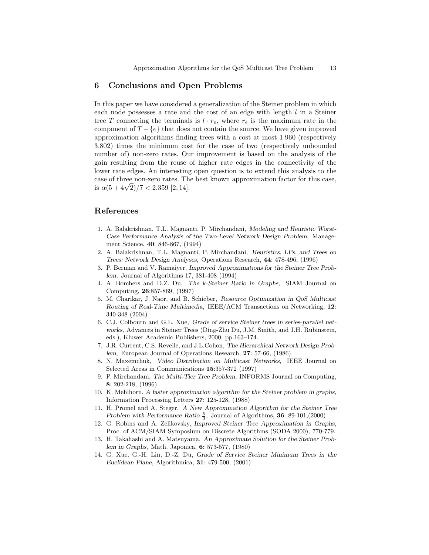#### 6 Conclusions and Open Problems

In this paper we have considered a generalization of the Steiner problem in which each node possesses a rate and the cost of an edge with length l in a Steiner tree T connecting the terminals is  $l \cdot r_e$ , where  $r_e$  is the maximum rate in the component of  $T - \{e\}$  that does not contain the source. We have given improved approximation algorithms finding trees with a cost at most 1.960 (respectively 3.802) times the minimum cost for the case of two (respectively unbounded number of) non-zero rates. Our improvement is based on the analysis of the gain resulting from the reuse of higher rate edges in the connectivity of the lower rate edges. An interesting open question is to extend this analysis to the case of three non-zero rates. The best known approximation factor for this case,  $\frac{1}{100}$  is  $\alpha(5 + 4\sqrt{2})/7 < 2.359$  [2, 14].

### References

- 1. A. Balakrishnan, T.L. Magnanti, P. Mirchandani, Modeling and Heuristic Worst-Case Performance Analysis of the Two-Level Network Design Problem, Management Science, 40: 846-867, (1994)
- 2. A. Balakrishnan, T.L. Magnanti, P. Mirchandani, Heuristics, LPs, and Trees on Trees: Network Design Analyses, Operations Research, 44: 478-496, (1996)
- 3. P. Berman and V. Ramaiyer, Improved Approximations for the Steiner Tree Problem, Journal of Algorithms 17, 381-408 (1994)
- 4. A. Borchers and D.Z. Du, The k-Steiner Ratio in Graphs, SIAM Journal on Computing, 26:857-869, (1997)
- 5. M. Charikar, J. Naor, and B. Schieber, Resource Optimization in QoS Multicast Routing of Real-Time Multimedia, IEEE/ACM Transactions on Networking, 12: 340-348 (2004)
- 6. C.J. Colbourn and G.L. Xue, Grade of service Steiner trees in series-parallel networks, Advances in Steiner Trees (Ding-Zhu Du, J.M. Smith, and J.H. Rubinstein, eds.), Kluwer Academic Publishers, 2000, pp.163–174.
- 7. J.R. Current, C.S. Revelle, and J.L.Cohon, The Hierarchical Network Design Problem, European Journal of Operations Research, 27: 57-66, (1986)
- 8. N. Maxemchuk, Video Distribution on Multicast Networks, IEEE Journal on Selected Areas in Communications 15:357-372 (1997)
- 9. P. Mirchandani, The Multi-Tier Tree Problem, INFORMS Journal on Computing, 8: 202-218, (1996)
- 10. K. Mehlhorn, A faster approximation algorithm for the Steiner problem in graphs, Information Processing Letters 27: 125-128, (1988)
- 11. H. Promel and A. Steger, A New Approximation Algorithm for the Steiner Tree Problem with Performance Ratio  $\frac{5}{3}$ , Journal of Algorithms, 36: 89-101,(2000)
- 12. G. Robins and A. Zelikovsky, Improved Steiner Tree Approximation in Graphs, Proc. of ACM/SIAM Symposium on Discrete Algorithms (SODA 2000), 770-779.
- 13. H. Takahashi and A. Matsuyama, An Approximate Solution for the Steiner Problem in Graphs, Math. Japonica, 6: 573-577, (1980)
- 14. G. Xue, G.-H. Lin, D.-Z. Du, Grade of Service Steiner Minimum Trees in the Euclidean Plane, Algorithmica, 31: 479-500, (2001)